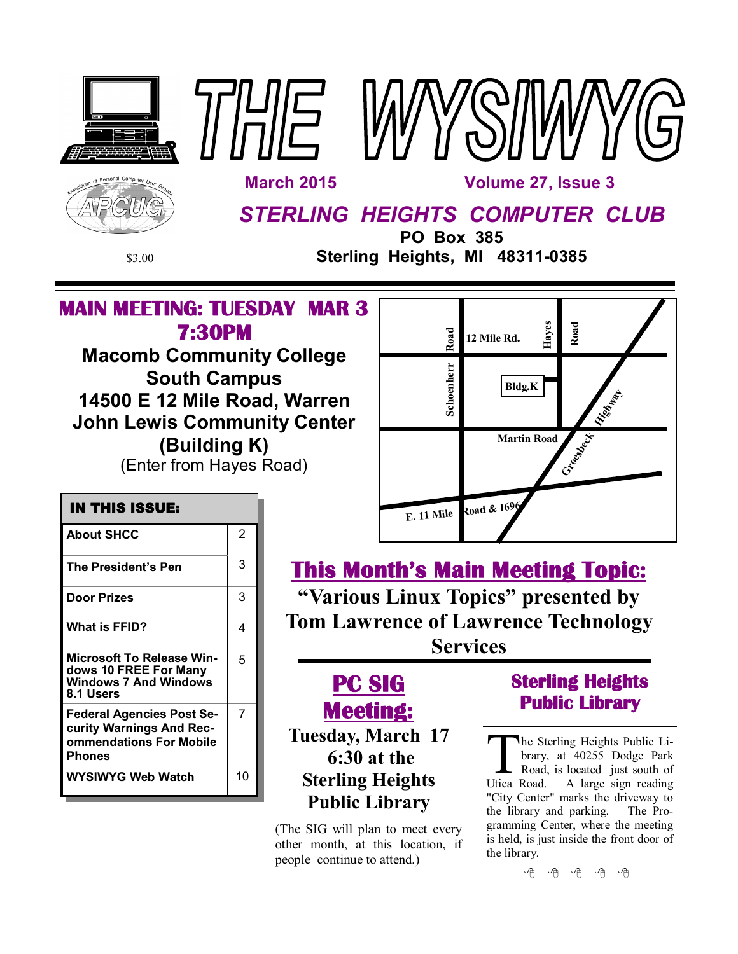





INAILE

 **March 2015 Volume 27, Issue 3**

# *STERLING HEIGHTS COMPUTER CLUB*

**PO Box 385** \$3.00 **Sterling Heights, MI 48311-0385**

## **MAIN MEETING: TUESDAY MAR 3 7:30PM**

**Macomb Community College South Campus 14500 E 12 Mile Road, Warren John Lewis Community Center (Building K)** (Enter from Hayes Road)



# **This Month's Main Meeting Topic:**

**"Various Linux Topics" presented by Tom Lawrence of Lawrence Technology Services**

## **Door Prizes** 23 **What is FFID?** 4 **Microsoft To Release Windows 10 FREE For Many Windows 7 And Windows 8.1 Users** 5 **Federal Agencies Post Security Warnings And Recommendations For Mobile Phones** 7 **WYSIWYG Web Watch | 10**

**About SHCC** 2

**The President's Pen** 3

 **IN THIS ISSUE:** 

**Meeting: Tuesday, March 17 6:30 at the Sterling Heights Public Library**

**PC SIG** 

(The SIG will plan to meet every other month, at this location, if people continue to attend.)

## **Sterling Heights Public Library**

The Sterling Heights Public Library, at 40255 Dodge Park<br>Road, is located just south of<br>Utica Road. A large sign reading he Sterling Heights Public Library, at 40255 Dodge Park Road, is located just south of "City Center" marks the driveway to the library and parking. The Programming Center, where the meeting is held, is just inside the front door of the library.

平 丹 平 平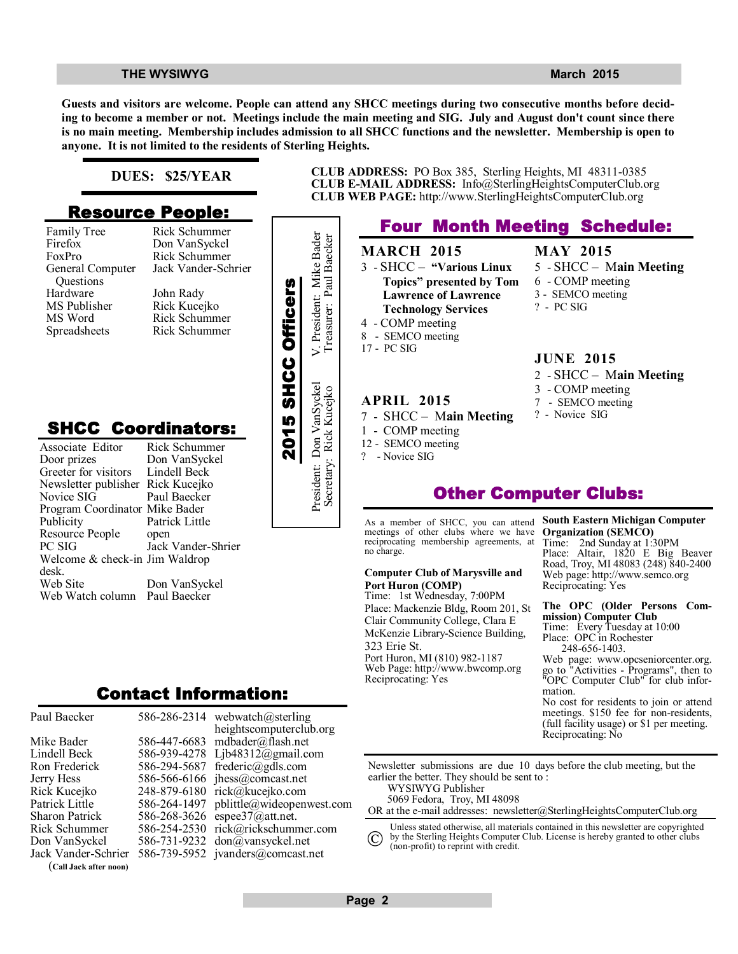**MAY 2015**

? - PC SIG

6 - COMP meeting 3 - SEMCO meeting

**JUNE 2015**

3 - COMP meeting 7 - SEMCO meeting ? - Novice SIG

5 - SHCC – M**ain Meeting**

2 - SHCC – M**ain Meeting**

**Guests and visitors are welcome. People can attend any SHCC meetings during two consecutive months before deciding to become a member or not. Meetings include the main meeting and SIG. July and August don't count since there is no main meeting. Membership includes admission to all SHCC functions and the newsletter. Membership is open to anyone. It is not limited to the residents of Sterling Heights.**

### **DUES: \$25/YEAR**

### **Resource People:**

- Family Tree Firefox FoxPro General Computer Questions Hardware MS Publisher MS Word Spreadsheets
- Rick Schummer Don VanSyckel Rick Schummer Jack Vander-Schrier John Rady Rick Kucejko Rick Schummer

## **SHCC Coordinators:**

| гашну ттес<br>Firefox<br>FoxPro<br>General Computer<br>Questions<br>Hardware<br>MS Publisher<br>MS Word<br>Spreadsheets                                      | <b>INIUN DUTTUMILITEI</b><br>Don VanSyckel<br>Rick Schummer<br>Jack Vander-Schrier<br>John Rady<br>Rick Kucejko<br>Rick Schummer<br>Rick Schummer |                    | President: Mike Bader    |
|--------------------------------------------------------------------------------------------------------------------------------------------------------------|---------------------------------------------------------------------------------------------------------------------------------------------------|--------------------|--------------------------|
| <b>SHCC Coordinators:</b><br>Associate Editor<br>Door prizes<br>Greeter for visitors<br>Newsletter publisher<br>Novice SIG<br>Program Coordinator Mike Bader | Rick Schummer<br>Don VanSyckel<br>Lindell Beck<br>Rick Kucejko<br>Paul Baecker                                                                    | 2015 SHCC Officers | President: Don VanSyckel |
| Publicity<br>Resource People<br>PC SIG<br>Welcome & check-in Jim Waldrop<br>desk.<br>Web Site<br>Web Watch column                                            | Patrick Little<br>open<br>Jack Vander-Shrier<br>Don VanSyckel<br>Paul Baecker                                                                     |                    |                          |
|                                                                                                                                                              | Contact Information:                                                                                                                              |                    |                          |

|              | 586-286-2314 webwatch@sterling     |
|--------------|------------------------------------|
|              | heightscomputerclub.org            |
|              | 586-447-6683 mdbader@flash.net     |
|              | 586-939-4278 Ljb48312@gmail.com    |
| 586-294-5687 | frederic@gdls.com                  |
|              | 586-566-6166 jhess@comcast.net     |
|              | 248-879-6180 rick@kucejko.com      |
| 586-264-1497 | pblittle@wideopenwest.com          |
|              | 586-268-3626 espee37@att.net.      |
|              | 586-254-2530 rick@rickschummer.com |
|              | 586-731-9232 don@vansyckel.net     |
|              | 586-739-5952 jvanders@comcast.net  |
|              |                                    |
|              |                                    |

**CLUB ADDRESS:** PO Box 385, Sterling Heights, MI 48311-0385 **CLUB E-MAIL ADDRESS:** Info@SterlingHeightsComputerClub.org **CLUB WEB PAGE:** http://www.SterlingHeightsComputerClub.org

## **Four Month Meeting Schedule:**

### **MARCH 2015** 3 - SHCC – **"Various Linux Topics" presented by Tom Lawrence of Lawrence**

- **Technology Services** 4 - COMP meeting
- 8 SEMCO meeting
- 17 PC SIG

### **APRIL 2015**

- 7 SHCC M**ain Meeting**
- 1 COMP meeting
- 12 SEMCO meeting

**Port Huron (COMP)**

? - Novice SIG

no charge.

323 Erie St.

Reciprocating: Yes

**Computer Club of Marysville and** 

Time: 1st Wednesday, 7:00PM Place: Mackenzie Bldg, Room 201, St Clair Community College, Clara E McKenzie Library-Science Building,

Port Huron, MI (810) 982-1187 Web Page: http://www.bwcomp.org

#### **South Eastern Michigan Computer Organization (SEMCO)**

Time: 2nd Sunday at 1:30PM Place: Altair, 1820 E Big Beaver Road, Troy, MI 48083 (248) 840-2400 Web page: http://www.semco.org Reciprocating: Yes

#### **The OPC (Older Persons Commission) Computer Club**  Time: Every Tuesday at 10:00 Place: OPC in Rochester 248-656-1403.

Web page: www.opcseniorcenter.org. go to "Activities - Programs", then to "OPC Computer Club" for club information.

No cost for residents to join or attend meetings. \$150 fee for non-residents, (full facility usage) or \$1 per meeting. Reciprocating: No

Newsletter submissions are due 10 days before the club meeting, but the earlier the better. They should be sent to : WYSIWYG Publisher

5069 Fedora, Troy, MI 48098

OR at the e-mail addresses: newsletter@SterlingHeightsComputerClub.org

Unless stated otherwise, all materials contained in this newsletter are copyrighted

by the Sterling Heights Computer Club. License is hereby granted to other clubs  $\rm (C)$ 

(non-profit) to reprint with credit.



# **Other Computer Clubs:**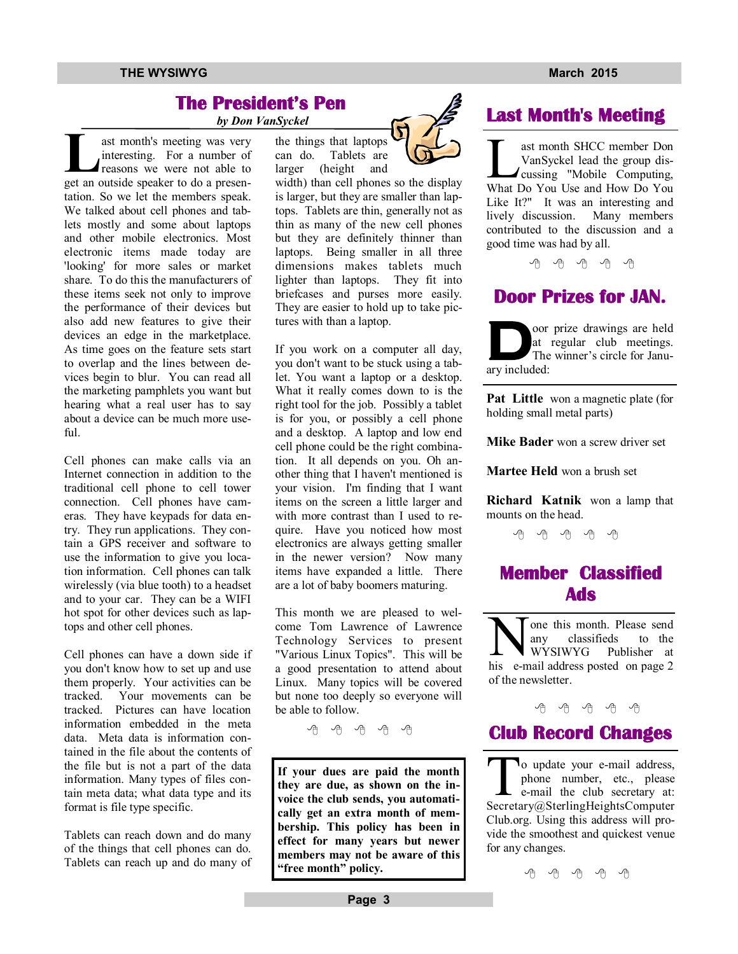## **The President's Pen**

 *by Don VanSyckel*

**L L**ast month's meeting was very<br>
interesting. For a number of<br>
reasons we were not able to<br>
get an outside speaker to do a presenast month's meeting was very interesting. For a number of reasons we were not able to tation. So we let the members speak. We talked about cell phones and tablets mostly and some about laptops and other mobile electronics. Most electronic items made today are 'looking' for more sales or market share. To do this the manufacturers of these items seek not only to improve the performance of their devices but also add new features to give their devices an edge in the marketplace. As time goes on the feature sets start to overlap and the lines between devices begin to blur. You can read all the marketing pamphlets you want but hearing what a real user has to say about a device can be much more use $fi1$ 

Cell phones can make calls via an Internet connection in addition to the traditional cell phone to cell tower connection. Cell phones have cameras. They have keypads for data entry. They run applications. They contain a GPS receiver and software to use the information to give you location information. Cell phones can talk wirelessly (via blue tooth) to a headset and to your car. They can be a WIFI hot spot for other devices such as laptops and other cell phones.

Cell phones can have a down side if you don't know how to set up and use them properly. Your activities can be tracked. Your movements can be tracked. Pictures can have location information embedded in the meta data. Meta data is information contained in the file about the contents of the file but is not a part of the data information. Many types of files contain meta data; what data type and its format is file type specific.

Tablets can reach down and do many of the things that cell phones can do. Tablets can reach up and do many of the things that laptops can do. Tablets are larger (height and

width) than cell phones so the display is larger, but they are smaller than laptops. Tablets are thin, generally not as thin as many of the new cell phones but they are definitely thinner than laptops. Being smaller in all three dimensions makes tablets much lighter than laptops. They fit into briefcases and purses more easily. They are easier to hold up to take pictures with than a laptop.

If you work on a computer all day, you don't want to be stuck using a tablet. You want a laptop or a desktop. What it really comes down to is the right tool for the job. Possibly a tablet is for you, or possibly a cell phone and a desktop. A laptop and low end cell phone could be the right combination. It all depends on you. Oh another thing that I haven't mentioned is your vision. I'm finding that I want items on the screen a little larger and with more contrast than I used to require. Have you noticed how most electronics are always getting smaller in the newer version? Now many items have expanded a little. There are a lot of baby boomers maturing.

This month we are pleased to welcome Tom Lawrence of Lawrence Technology Services to present "Various Linux Topics". This will be a good presentation to attend about Linux. Many topics will be covered but none too deeply so everyone will be able to follow.

用 用 用 用

**If your dues are paid the month they are due, as shown on the invoice the club sends, you automatically get an extra month of membership. This policy has been in effect for many years but newer members may not be aware of this "free month" policy.**

## **Last Month's Meeting**

ast month SHCC member Don<br>VanSyckel lead the group dis-<br>cussing "Mobile Computing,<br>What Do You Use and How Do You ast month SHCC member Don VanSyckel lead the group discussing "Mobile Computing, Like It?" It was an interesting and lively discussion. Many members contributed to the discussion and a good time was had by all.

中 伯 伯 伯

## **Door Prizes for JAN.**

**D** oor prize drawings are held at regular club meetings. The winner's circle for January included:

**Pat Little** won a magnetic plate (for holding small metal parts)

**Mike Bader** won a screw driver set

**Martee Held** won a brush set

**Richard Katnik** won a lamp that mounts on the head.

平 平 平 平 平

## **Member Classified Ads**

N one this month. Please send<br>any classifieds to the<br>his e-mail address posted on page 2 one this month. Please send any classifieds to the WYSIWYG Publisher at Publisher at of the newsletter.

### A A A A A

## **Club Record Changes**

Secrets o update your e-mail address, phone number, etc., please e-mail the club secretary at: Secretary@SterlingHeightsComputer Club.org. Using this address will provide the smoothest and quickest venue for any changes.

准 确 确 确 确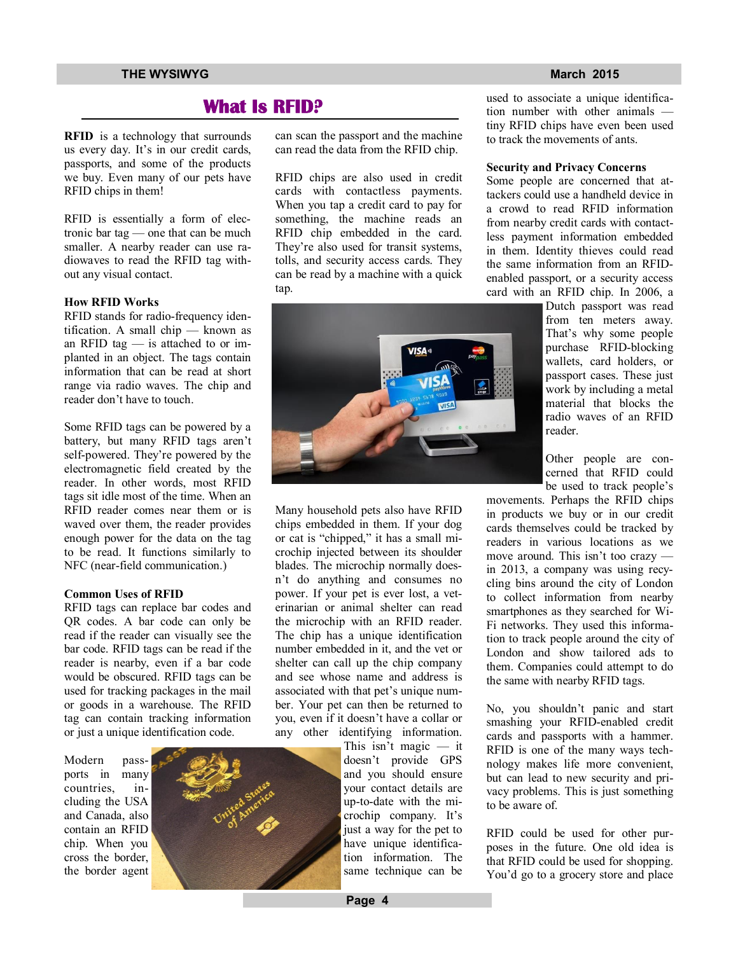## **What Is RFID?**

**RFID** is a technology that surrounds us every day. It's in our credit cards, passports, and some of the products we buy. Even many of our pets have RFID chips in them!

RFID is essentially a form of electronic bar tag — one that can be much smaller. A nearby reader can use radiowaves to read the RFID tag without any visual contact.

#### **How RFID Works**

RFID stands for radio-frequency identification. A small chip — known as an RFID tag — is attached to or implanted in an object. The tags contain information that can be read at short range via radio waves. The chip and reader don't have to touch.

Some RFID tags can be powered by a battery, but many RFID tags aren't self-powered. They're powered by the electromagnetic field created by the reader. In other words, most RFID tags sit idle most of the time. When an RFID reader comes near them or is waved over them, the reader provides enough power for the data on the tag to be read. It functions similarly to NFC (near-field communication.)

#### **Common Uses of RFID**

RFID tags can replace bar codes and QR codes. A bar code can only be read if the reader can visually see the bar code. RFID tags can be read if the reader is nearby, even if a bar code would be obscured. RFID tags can be used for tracking packages in the mail or goods in a warehouse. The RFID tag can contain tracking information or just a unique identification code.

Modern passports in many countries, including the USA and Canada, also contain an RFID chip. When you cross the border, the border agent



can scan the passport and the machine can read the data from the RFID chip.

RFID chips are also used in credit cards with contactless payments. When you tap a credit card to pay for something, the machine reads an RFID chip embedded in the card. They're also used for transit systems, tolls, and security access cards. They can be read by a machine with a quick tap.



Many household pets also have RFID chips embedded in them. If your dog or cat is "chipped," it has a small microchip injected between its shoulder blades. The microchip normally doesn't do anything and consumes no power. If your pet is ever lost, a veterinarian or animal shelter can read the microchip with an RFID reader. The chip has a unique identification number embedded in it, and the vet or shelter can call up the chip company and see whose name and address is associated with that pet's unique number. Your pet can then be returned to you, even if it doesn't have a collar or any other identifying information.

This isn't magic — it doesn't provide GPS and you should ensure your contact details are up-to-date with the microchip company. It's just a way for the pet to have unique identification information. The same technique can be

used to associate a unique identification number with other animals tiny RFID chips have even been used to track the movements of ants.

#### **Security and Privacy Concerns**

Some people are concerned that attackers could use a handheld device in a crowd to read RFID information from nearby credit cards with contactless payment information embedded in them. Identity thieves could read the same information from an RFIDenabled passport, or a security access card with an RFID chip. In 2006, a

> Dutch passport was read from ten meters away. That's why some people purchase RFID-blocking wallets, card holders, or passport cases. These just work by including a metal material that blocks the radio waves of an RFID reader.

> Other people are concerned that RFID could be used to track people's

movements. Perhaps the RFID chips in products we buy or in our credit cards themselves could be tracked by readers in various locations as we move around. This isn't too crazy in 2013, a company was using recycling bins around the city of London to collect information from nearby smartphones as they searched for Wi-Fi networks. They used this information to track people around the city of London and show tailored ads to them. Companies could attempt to do the same with nearby RFID tags.

No, you shouldn't panic and start smashing your RFID-enabled credit cards and passports with a hammer. RFID is one of the many ways technology makes life more convenient, but can lead to new security and privacy problems. This is just something to be aware of.

RFID could be used for other purposes in the future. One old idea is that RFID could be used for shopping. You'd go to a grocery store and place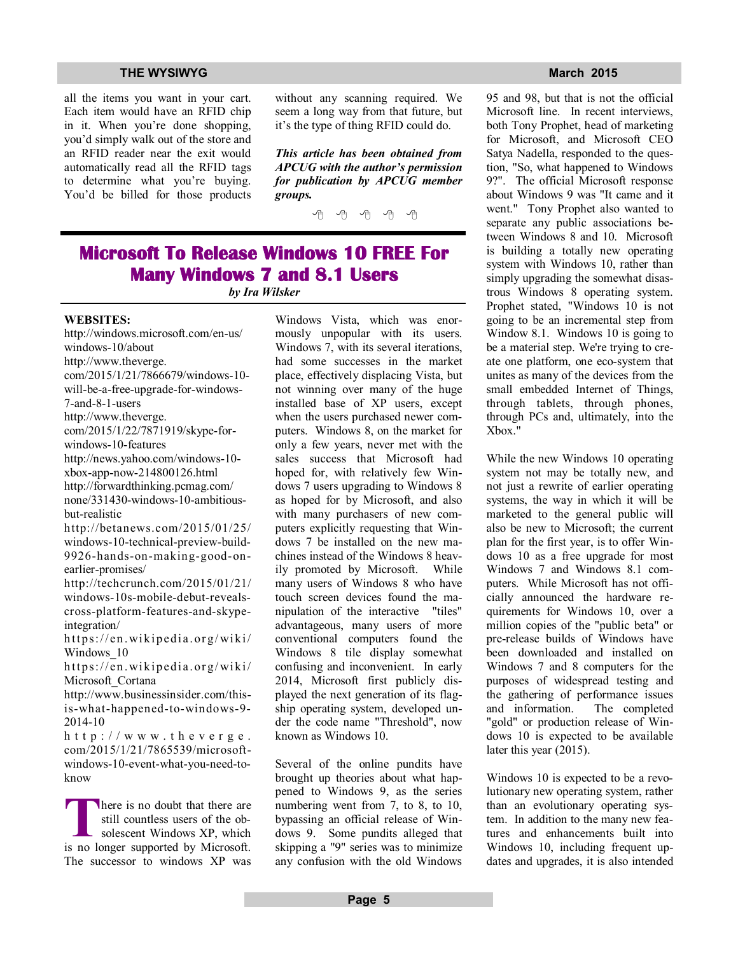all the items you want in your cart. Each item would have an RFID chip in it. When you're done shopping, you'd simply walk out of the store and an RFID reader near the exit would automatically read all the RFID tags to determine what you're buying. You'd be billed for those products without any scanning required. We seem a long way from that future, but it's the type of thing RFID could do.

*This article has been obtained from APCUG with the author's permission for publication by APCUG member groups.*

有 有 有 有 有

## **Microsoft To Release Windows 10 FREE For Many Windows 7 and 8.1 Users**

*by Ira Wilsker*

#### **WEBSITES:**

http://windows.microsoft.com/en-us/ windows-10/about http://www.theverge. com/2015/1/21/7866679/windows-10 will-be-a-free-upgrade-for-windows-7-and-8-1-users http://www.theverge. com/2015/1/22/7871919/skype-forwindows-10-features http://news.yahoo.com/windows-10 xbox-app-now-214800126.html http://forwardthinking.pcmag.com/ none/331430-windows-10-ambitiousbut-realistic http://betanews.com/2015/01/25/ windows-10-technical-preview-build-9926-hands-on-making-good-onearlier-promises/ http://techcrunch.com/2015/01/21/ windows-10s-mobile-debut-revealscross-platform-features-and-skypeintegration/ https://en.wikipedia.org/wiki/ Windows 10 https://en.wikipedia.org/wiki/

Microsoft Cortana http://www.businessinsider.com/this-

is-what-happened-to-windows-9- 2014-10

 $h$  t t p :  $//$  w w w . t h e v e r g e . com/2015/1/21/7865539/microsoftwindows-10-event-what-you-need-toknow

**There is no doubt that there are still countless users of the obsolescent Windows XP, which is no longer supported by Microsoft.** here is no doubt that there are still countless users of the obsolescent Windows XP, which The successor to windows XP was Windows Vista, which was enormously unpopular with its users. Windows 7, with its several iterations, had some successes in the market place, effectively displacing Vista, but not winning over many of the huge installed base of XP users, except when the users purchased newer computers. Windows 8, on the market for only a few years, never met with the sales success that Microsoft had hoped for, with relatively few Windows 7 users upgrading to Windows 8 as hoped for by Microsoft, and also with many purchasers of new computers explicitly requesting that Windows 7 be installed on the new machines instead of the Windows 8 heavily promoted by Microsoft. While many users of Windows 8 who have touch screen devices found the manipulation of the interactive "tiles" advantageous, many users of more conventional computers found the Windows 8 tile display somewhat confusing and inconvenient. In early 2014, Microsoft first publicly displayed the next generation of its flagship operating system, developed under the code name "Threshold", now known as Windows 10.

Several of the online pundits have brought up theories about what happened to Windows 9, as the series numbering went from 7, to 8, to 10, bypassing an official release of Windows 9. Some pundits alleged that skipping a "9" series was to minimize any confusion with the old Windows

95 and 98, but that is not the official Microsoft line. In recent interviews, both Tony Prophet, head of marketing for Microsoft, and Microsoft CEO Satya Nadella, responded to the question, "So, what happened to Windows 9?". The official Microsoft response about Windows 9 was "It came and it went." Tony Prophet also wanted to separate any public associations between Windows 8 and 10. Microsoft is building a totally new operating system with Windows 10, rather than simply upgrading the somewhat disastrous Windows 8 operating system. Prophet stated, "Windows 10 is not going to be an incremental step from Window 8.1. Windows 10 is going to be a material step. We're trying to create one platform, one eco-system that unites as many of the devices from the small embedded Internet of Things, through tablets, through phones, through PCs and, ultimately, into the Xbox."

While the new Windows 10 operating system not may be totally new, and not just a rewrite of earlier operating systems, the way in which it will be marketed to the general public will also be new to Microsoft; the current plan for the first year, is to offer Windows 10 as a free upgrade for most Windows 7 and Windows 8.1 computers. While Microsoft has not officially announced the hardware requirements for Windows 10, over a million copies of the "public beta" or pre-release builds of Windows have been downloaded and installed on Windows 7 and 8 computers for the purposes of widespread testing and the gathering of performance issues<br>and information. The completed and information. "gold" or production release of Windows 10 is expected to be available later this year (2015).

Windows 10 is expected to be a revolutionary new operating system, rather than an evolutionary operating system. In addition to the many new features and enhancements built into Windows 10, including frequent updates and upgrades, it is also intended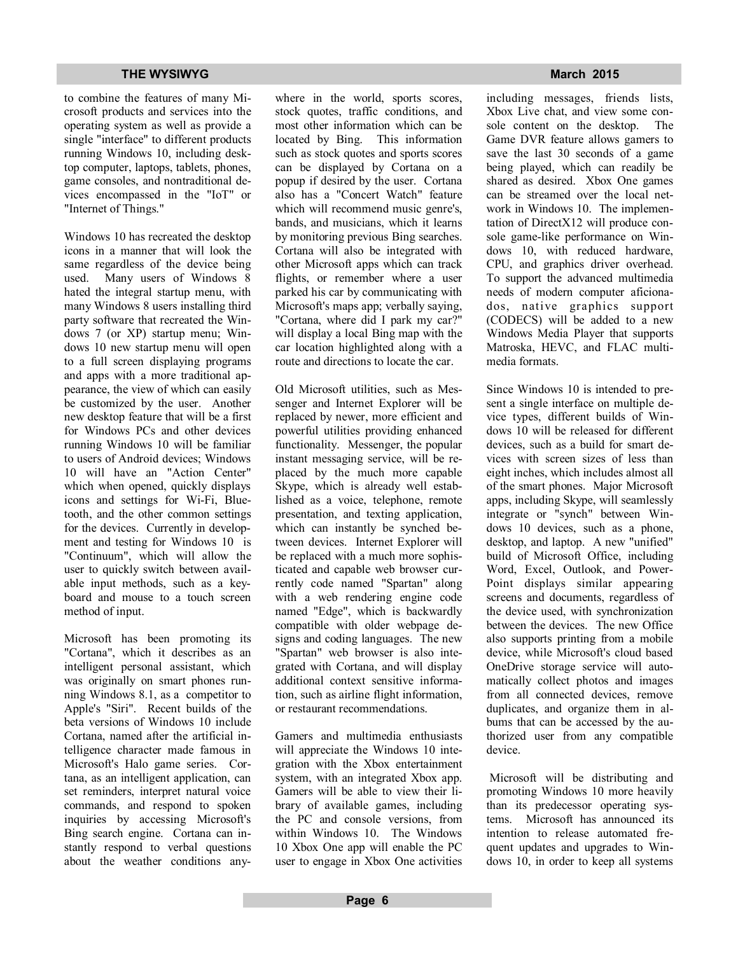to combine the features of many Microsoft products and services into the operating system as well as provide a single "interface" to different products running Windows 10, including desktop computer, laptops, tablets, phones, game consoles, and nontraditional devices encompassed in the "IoT" or "Internet of Things."

Windows 10 has recreated the desktop icons in a manner that will look the same regardless of the device being used. Many users of Windows 8 hated the integral startup menu, with many Windows 8 users installing third party software that recreated the Windows 7 (or XP) startup menu; Windows 10 new startup menu will open to a full screen displaying programs and apps with a more traditional appearance, the view of which can easily be customized by the user. Another new desktop feature that will be a first for Windows PCs and other devices running Windows 10 will be familiar to users of Android devices; Windows 10 will have an "Action Center" which when opened, quickly displays icons and settings for Wi-Fi, Bluetooth, and the other common settings for the devices. Currently in development and testing for Windows 10 is "Continuum", which will allow the user to quickly switch between available input methods, such as a keyboard and mouse to a touch screen method of input.

Microsoft has been promoting its "Cortana", which it describes as an intelligent personal assistant, which was originally on smart phones running Windows 8.1, as a competitor to Apple's "Siri". Recent builds of the beta versions of Windows 10 include Cortana, named after the artificial intelligence character made famous in Microsoft's Halo game series. Cortana, as an intelligent application, can set reminders, interpret natural voice commands, and respond to spoken inquiries by accessing Microsoft's Bing search engine. Cortana can instantly respond to verbal questions about the weather conditions anywhere in the world, sports scores, stock quotes, traffic conditions, and most other information which can be located by Bing. This information such as stock quotes and sports scores can be displayed by Cortana on a popup if desired by the user. Cortana also has a "Concert Watch" feature which will recommend music genre's, bands, and musicians, which it learns by monitoring previous Bing searches. Cortana will also be integrated with other Microsoft apps which can track flights, or remember where a user parked his car by communicating with Microsoft's maps app; verbally saying, "Cortana, where did I park my car?" will display a local Bing map with the car location highlighted along with a route and directions to locate the car.

Old Microsoft utilities, such as Messenger and Internet Explorer will be replaced by newer, more efficient and powerful utilities providing enhanced functionality. Messenger, the popular instant messaging service, will be replaced by the much more capable Skype, which is already well established as a voice, telephone, remote presentation, and texting application, which can instantly be synched between devices. Internet Explorer will be replaced with a much more sophisticated and capable web browser currently code named "Spartan" along with a web rendering engine code named "Edge", which is backwardly compatible with older webpage designs and coding languages. The new "Spartan" web browser is also integrated with Cortana, and will display additional context sensitive information, such as airline flight information, or restaurant recommendations.

Gamers and multimedia enthusiasts will appreciate the Windows 10 integration with the Xbox entertainment system, with an integrated Xbox app. Gamers will be able to view their library of available games, including the PC and console versions, from within Windows 10. The Windows 10 Xbox One app will enable the PC user to engage in Xbox One activities

including messages, friends lists, Xbox Live chat, and view some console content on the desktop. The Game DVR feature allows gamers to save the last 30 seconds of a game being played, which can readily be shared as desired. Xbox One games can be streamed over the local network in Windows 10. The implementation of DirectX12 will produce console game-like performance on Windows 10, with reduced hardware, CPU, and graphics driver overhead. To support the advanced multimedia needs of modern computer aficionados, native graphics support (CODECS) will be added to a new Windows Media Player that supports Matroska, HEVC, and FLAC multimedia formats.

Since Windows 10 is intended to present a single interface on multiple device types, different builds of Windows 10 will be released for different devices, such as a build for smart devices with screen sizes of less than eight inches, which includes almost all of the smart phones. Major Microsoft apps, including Skype, will seamlessly integrate or "synch" between Windows 10 devices, such as a phone, desktop, and laptop. A new "unified" build of Microsoft Office, including Word, Excel, Outlook, and Power-Point displays similar appearing screens and documents, regardless of the device used, with synchronization between the devices. The new Office also supports printing from a mobile device, while Microsoft's cloud based OneDrive storage service will automatically collect photos and images from all connected devices, remove duplicates, and organize them in albums that can be accessed by the authorized user from any compatible device.

 Microsoft will be distributing and promoting Windows 10 more heavily than its predecessor operating systems. Microsoft has announced its intention to release automated frequent updates and upgrades to Windows 10, in order to keep all systems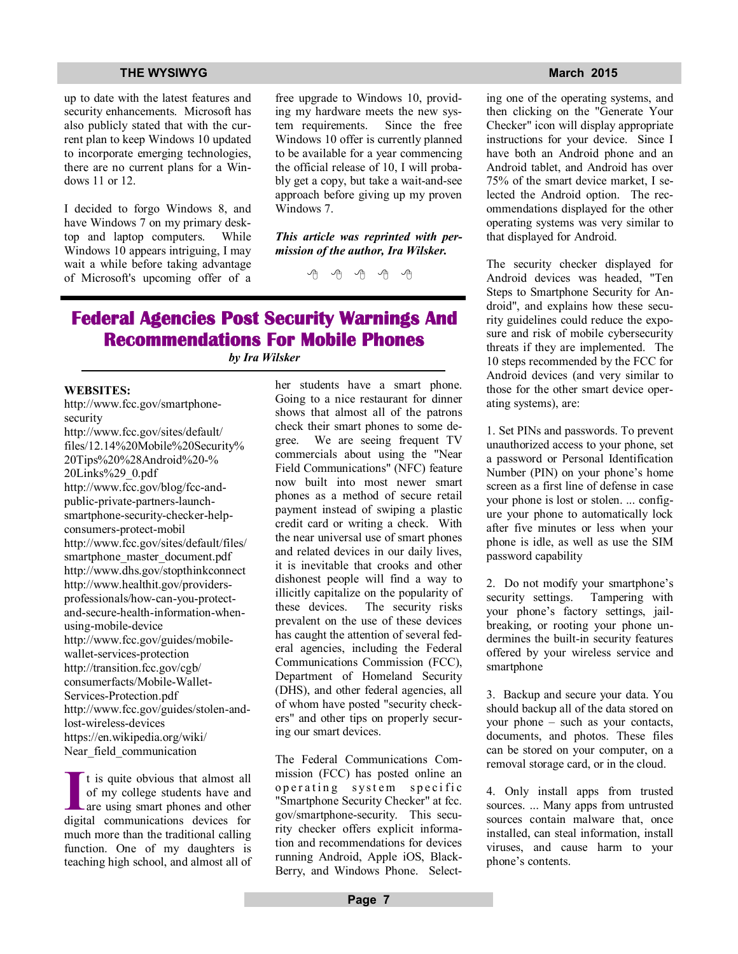up to date with the latest features and security enhancements. Microsoft has also publicly stated that with the current plan to keep Windows 10 updated to incorporate emerging technologies, there are no current plans for a Windows 11 or 12.

I decided to forgo Windows 8, and have Windows 7 on my primary desktop and laptop computers. While Windows 10 appears intriguing, I may wait a while before taking advantage of Microsoft's upcoming offer of a free upgrade to Windows 10, providing my hardware meets the new system requirements. Since the free Windows 10 offer is currently planned to be available for a year commencing the official release of 10, I will probably get a copy, but take a wait-and-see approach before giving up my proven Windows 7.

*This article was reprinted with permission of the author, Ira Wilsker.*

一个 一个

## **Federal Agencies Post Security Warnings And Recommendations For Mobile Phones**

*by Ira Wilsker*

#### **WEBSITES:**

http://www.fcc.gov/smartphonesecurity

http://www.fcc.gov/sites/default/ files/12.14%20Mobile%20Security% 20Tips%20%28Android%20-% 20Links%29\_0.pdf http://www.fcc.gov/blog/fcc-andpublic-private-partners-launchsmartphone-security-checker-helpconsumers-protect-mobil http://www.fcc.gov/sites/default/files/ smartphone\_master\_document.pdf http://www.dhs.gov/stopthinkconnect http://www.healthit.gov/providersprofessionals/how-can-you-protectand-secure-health-information-whenusing-mobile-device http://www.fcc.gov/guides/mobilewallet-services-protection http://transition.fcc.gov/cgb/ consumerfacts/Mobile-Wallet-Services-Protection.pdf http://www.fcc.gov/guides/stolen-andlost-wireless-devices https://en.wikipedia.org/wiki/ Near field communication

It is quite obvious that almost all of my college students have and are using smart phones and other digital communications devices for t is quite obvious that almost all of my college students have and are using smart phones and other much more than the traditional calling function. One of my daughters is teaching high school, and almost all of her students have a smart phone. Going to a nice restaurant for dinner shows that almost all of the patrons check their smart phones to some degree. We are seeing frequent TV commercials about using the "Near Field Communications" (NFC) feature now built into most newer smart phones as a method of secure retail payment instead of swiping a plastic credit card or writing a check. With the near universal use of smart phones and related devices in our daily lives, it is inevitable that crooks and other dishonest people will find a way to illicitly capitalize on the popularity of these devices. The security risks prevalent on the use of these devices has caught the attention of several federal agencies, including the Federal Communications Commission (FCC), Department of Homeland Security (DHS), and other federal agencies, all of whom have posted "security checkers" and other tips on properly securing our smart devices.

The Federal Communications Commission (FCC) has posted online an operating system specific "Smartphone Security Checker" at fcc. gov/smartphone-security. This security checker offers explicit information and recommendations for devices running Android, Apple iOS, Black-Berry, and Windows Phone. Select-

ing one of the operating systems, and then clicking on the "Generate Your Checker" icon will display appropriate instructions for your device. Since I have both an Android phone and an Android tablet, and Android has over 75% of the smart device market, I selected the Android option. The recommendations displayed for the other operating systems was very similar to that displayed for Android.

The security checker displayed for Android devices was headed, "Ten Steps to Smartphone Security for Android", and explains how these security guidelines could reduce the exposure and risk of mobile cybersecurity threats if they are implemented. The 10 steps recommended by the FCC for Android devices (and very similar to those for the other smart device operating systems), are:

1. Set PINs and passwords. To prevent unauthorized access to your phone, set a password or Personal Identification Number (PIN) on your phone's home screen as a first line of defense in case your phone is lost or stolen. ... configure your phone to automatically lock after five minutes or less when your phone is idle, as well as use the SIM password capability

2. Do not modify your smartphone's security settings. Tampering with your phone's factory settings, jailbreaking, or rooting your phone undermines the built-in security features offered by your wireless service and smartphone

3. Backup and secure your data. You should backup all of the data stored on your phone – such as your contacts, documents, and photos. These files can be stored on your computer, on a removal storage card, or in the cloud.

4. Only install apps from trusted sources. ... Many apps from untrusted sources contain malware that, once installed, can steal information, install viruses, and cause harm to your phone's contents.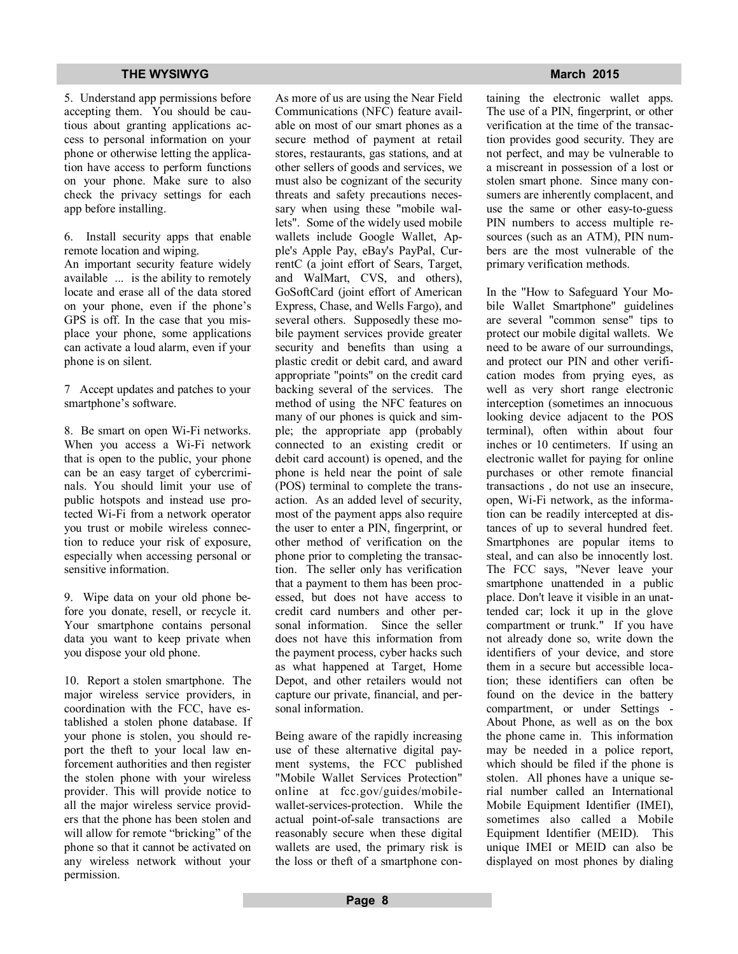5. Understand app permissions before accepting them. You should be cautious about granting applications access to personal information on your phone or otherwise letting the application have access to perform functions on your phone. Make sure to also check the privacy settings for each app before installing.

6. Install security apps that enable remote location and wiping. An important security feature widely available ... is the ability to remotely locate and erase all of the data stored on your phone, even if the phone's GPS is off. In the case that you misplace your phone, some applications can activate a loud alarm, even if your

7 Accept updates and patches to your smartphone's software.

phone is on silent.

8. Be smart on open Wi-Fi networks. When you access a Wi-Fi network that is open to the public, your phone can be an easy target of cybercriminals. You should limit your use of public hotspots and instead use protected Wi-Fi from a network operator you trust or mobile wireless connection to reduce your risk of exposure, especially when accessing personal or sensitive information.

9. Wipe data on your old phone before you donate, resell, or recycle it. Your smartphone contains personal data you want to keep private when you dispose your old phone.

10. Report a stolen smartphone. The major wireless service providers, in coordination with the FCC, have established a stolen phone database. If your phone is stolen, you should report the theft to your local law enforcement authorities and then register the stolen phone with your wireless provider. This will provide notice to all the major wireless service providers that the phone has been stolen and will allow for remote "bricking" of the phone so that it cannot be activated on any wireless network without your permission.

As more of us are using the Near Field Communications (NFC) feature available on most of our smart phones as a secure method of payment at retail stores, restaurants, gas stations, and at other sellers of goods and services, we must also be cognizant of the security threats and safety precautions necessary when using these "mobile wallets". Some of the widely used mobile wallets include Google Wallet, Apple's Apple Pay, eBay's PayPal, CurrentC (a joint effort of Sears, Target, and WalMart, CVS, and others), GoSoftCard (joint effort of American Express, Chase, and Wells Fargo), and several others. Supposedly these mobile payment services provide greater security and benefits than using a plastic credit or debit card, and award appropriate "points" on the credit card backing several of the services. The method of using the NFC features on many of our phones is quick and simple; the appropriate app (probably connected to an existing credit or debit card account) is opened, and the phone is held near the point of sale (POS) terminal to complete the transaction. As an added level of security, most of the payment apps also require the user to enter a PIN, fingerprint, or other method of verification on the phone prior to completing the transaction. The seller only has verification that a payment to them has been processed, but does not have access to credit card numbers and other personal information. Since the seller does not have this information from the payment process, cyber hacks such as what happened at Target, Home Depot, and other retailers would not capture our private, financial, and personal information.

Being aware of the rapidly increasing use of these alternative digital payment systems, the FCC published "Mobile Wallet Services Protection" online at fcc.gov/guides/mobilewallet-services-protection. While the actual point-of-sale transactions are reasonably secure when these digital wallets are used, the primary risk is the loss or theft of a smartphone con-

taining the electronic wallet apps. The use of a PIN, fingerprint, or other verification at the time of the transaction provides good security. They are not perfect, and may be vulnerable to a miscreant in possession of a lost or stolen smart phone. Since many consumers are inherently complacent, and use the same or other easy-to-guess PIN numbers to access multiple resources (such as an ATM), PIN numbers are the most vulnerable of the primary verification methods.

In the "How to Safeguard Your Mobile Wallet Smartphone" guidelines are several "common sense" tips to protect our mobile digital wallets. We need to be aware of our surroundings, and protect our PIN and other verification modes from prying eyes, as well as very short range electronic interception (sometimes an innocuous looking device adjacent to the POS terminal), often within about four inches or 10 centimeters. If using an electronic wallet for paying for online purchases or other remote financial transactions , do not use an insecure, open, Wi-Fi network, as the information can be readily intercepted at distances of up to several hundred feet. Smartphones are popular items to steal, and can also be innocently lost. The FCC says, "Never leave your smartphone unattended in a public place. Don't leave it visible in an unattended car; lock it up in the glove compartment or trunk." If you have not already done so, write down the identifiers of your device, and store them in a secure but accessible location; these identifiers can often be found on the device in the battery compartment, or under Settings - About Phone, as well as on the box the phone came in. This information may be needed in a police report, which should be filed if the phone is stolen. All phones have a unique serial number called an International Mobile Equipment Identifier (IMEI), sometimes also called a Mobile Equipment Identifier (MEID). This unique IMEI or MEID can also be displayed on most phones by dialing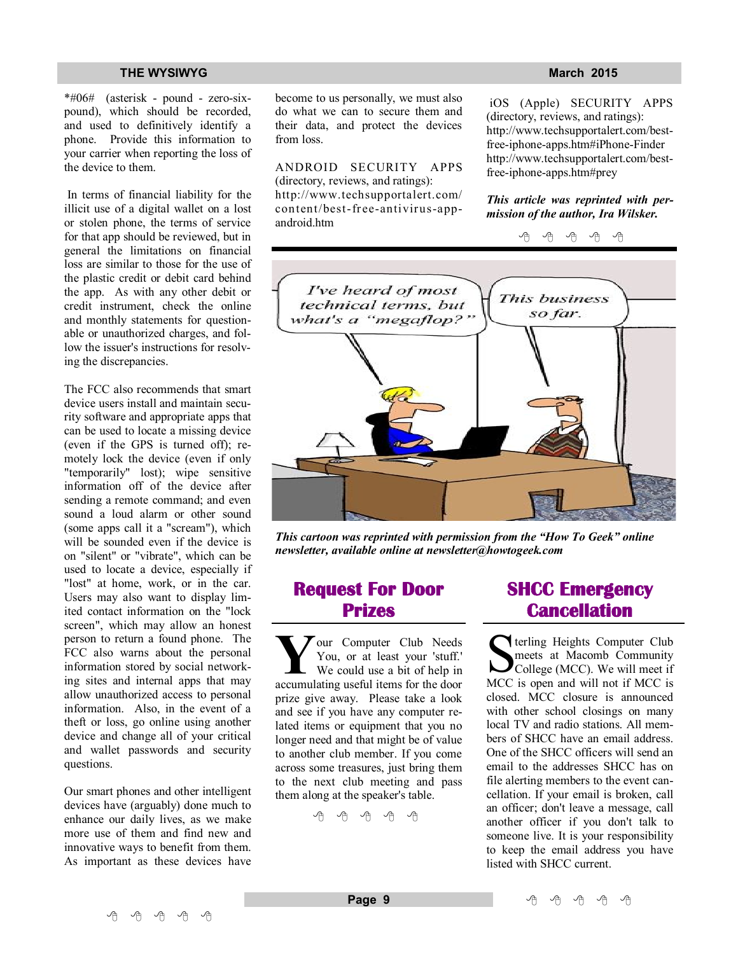\*#06# (asterisk - pound - zero-sixpound), which should be recorded, and used to definitively identify a phone. Provide this information to your carrier when reporting the loss of the device to them.

 In terms of financial liability for the illicit use of a digital wallet on a lost or stolen phone, the terms of service for that app should be reviewed, but in general the limitations on financial loss are similar to those for the use of the plastic credit or debit card behind the app. As with any other debit or credit instrument, check the online and monthly statements for questionable or unauthorized charges, and follow the issuer's instructions for resolving the discrepancies.

The FCC also recommends that smart device users install and maintain security software and appropriate apps that can be used to locate a missing device (even if the GPS is turned off); remotely lock the device (even if only "temporarily" lost); wipe sensitive information off of the device after sending a remote command; and even sound a loud alarm or other sound (some apps call it a "scream"), which will be sounded even if the device is on "silent" or "vibrate", which can be used to locate a device, especially if "lost" at home, work, or in the car. Users may also want to display limited contact information on the "lock screen", which may allow an honest person to return a found phone. The FCC also warns about the personal information stored by social networking sites and internal apps that may allow unauthorized access to personal information. Also, in the event of a theft or loss, go online using another device and change all of your critical and wallet passwords and security questions.

Our smart phones and other intelligent devices have (arguably) done much to enhance our daily lives, as we make more use of them and find new and innovative ways to benefit from them. As important as these devices have become to us personally, we must also do what we can to secure them and their data, and protect the devices from loss.

ANDROID SECURITY APPS

(directory, reviews, and ratings): http://www.techsupportalert.com/ content/best-free-antivirus-appandroid.htm

 iOS (Apple) SECURITY APPS (directory, reviews, and ratings): http://www.techsupportalert.com/bestfree-iphone-apps.htm#iPhone-Finder http://www.techsupportalert.com/bestfree-iphone-apps.htm#prey

*This article was reprinted with permission of the author, Ira Wilsker.*

中 丹 丹 丹 丹 I've heard of most This business technical terms, but so far. what's a "megaflop?"



*This cartoon was reprinted with permission from the "How To Geek" online newsletter, available online at newsletter@howtogeek.com*

## **Request For Door Prizes**

**Y**accumulating useful items for the door<br>
accumulating useful items for the door our Computer Club Needs You, or at least your 'stuff.' We could use a bit of help in prize give away. Please take a look and see if you have any computer related items or equipment that you no longer need and that might be of value to another club member. If you come across some treasures, just bring them to the next club meeting and pass them along at the speaker's table.

A A A A A

## **SHCC Emergency Cancellation**

Serveling Heights Computer Club<br>
meets at Macomb Community<br>
College (MCC). We will meet if<br>
MCC is open and will not if MCC is terling Heights Computer Club meets at Macomb Community College (MCC). We will meet if closed. MCC closure is announced with other school closings on many local TV and radio stations. All members of SHCC have an email address. One of the SHCC officers will send an email to the addresses SHCC has on file alerting members to the event cancellation. If your email is broken, call an officer; don't leave a message, call another officer if you don't talk to someone live. It is your responsibility to keep the email address you have listed with SHCC current.